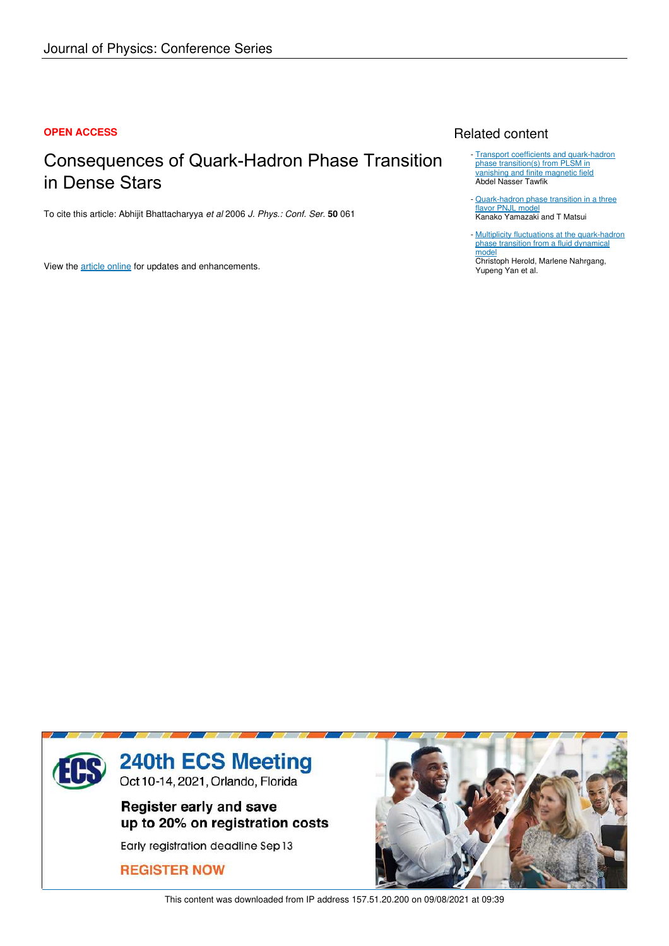#### **OPEN ACCESS**

## Consequences of Quark-Hadron Phase Transition in Dense Stars

To cite this article: Abhijit Bhattacharyya *et al* 2006 *J. Phys.: Conf. Ser.* **50** 061

View the article online for updates and enhancements.

## Related content

- **Transport coefficients and quark-hadron** phase transition(s) from PLSM in vanishing and finite magnetic field Abdel Nasser Tawfik
- Quark-hadron phase transition in a three flavor PNJL model Kanako Yamazaki and T Matsui
- Multiplicity fluctuations at the quark-hadron phase transition from a fluid dynamical model Christoph Herold, Marlene Nahrgang, -

Yupeng Yan et al.



This content was downloaded from IP address 157.51.20.200 on 09/08/2021 at 09:39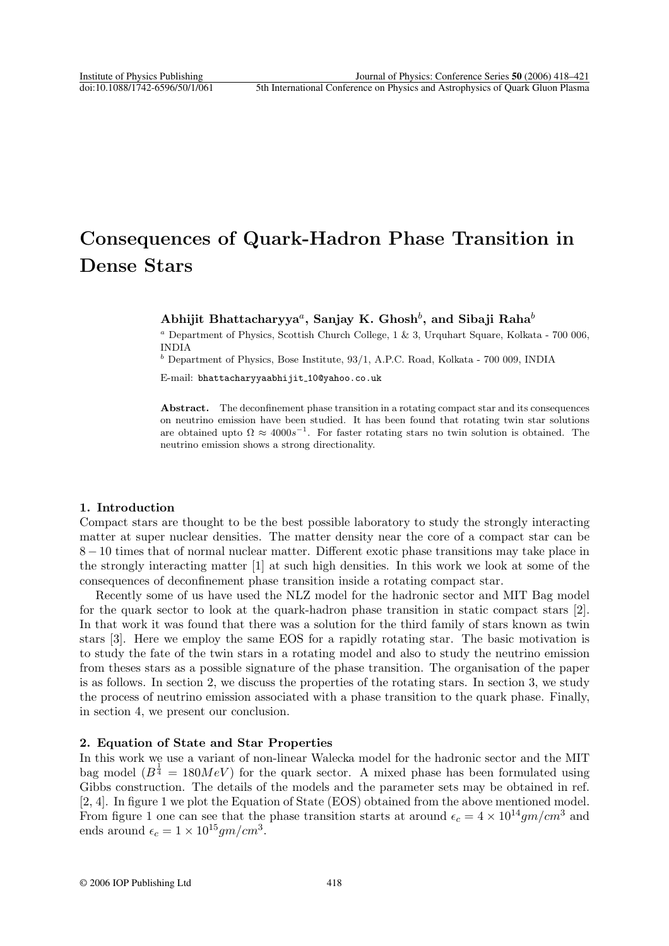# Consequences of Quark-Hadron Phase Transition in Dense Stars

### Abhijit Bhattacharyya ${}^a,$  Sanjay K. Ghosh ${}^b,$  and Sibaji Raha ${}^b$

<sup>a</sup> Department of Physics, Scottish Church College,  $1 \& 3$ , Urquhart Square, Kolkata - 700 006, INDIA

 $<sup>b</sup>$  Department of Physics, Bose Institute, 93/1, A.P.C. Road, Kolkata - 700 009, INDIA</sup>

E-mail: bhattacharyyaabhijit 10@yahoo.co.uk

Abstract. The deconfinement phase transition in a rotating compact star and its consequences on neutrino emission have been studied. It has been found that rotating twin star solutions are obtained upto  $\Omega \approx 4000s^{-1}$ . For faster rotating stars no twin solution is obtained. The neutrino emission shows a strong directionality.

#### 1. Introduction

Compact stars are thought to be the best possible laboratory to study the strongly interacting matter at super nuclear densities. The matter density near the core of a compact star can be 8 − 10 times that of normal nuclear matter. Different exotic phase transitions may take place in the strongly interacting matter [1] at such high densities. In this work we look at some of the consequences of deconfinement phase transition inside a rotating compact star.

Recently some of us have used the NLZ model for the hadronic sector and MIT Bag model for the quark sector to look at the quark-hadron phase transition in static compact stars [2]. In that work it was found that there was a solution for the third family of stars known as twin stars [3]. Here we employ the same EOS for a rapidly rotating star. The basic motivation is to study the fate of the twin stars in a rotating model and also to study the neutrino emission from theses stars as a possible signature of the phase transition. The organisation of the paper is as follows. In section 2, we discuss the properties of the rotating stars. In section 3, we study the process of neutrino emission associated with a phase transition to the quark phase. Finally, in section 4, we present our conclusion.

#### 2. Equation of State and Star Properties

In this work we use a variant of non-linear Walecka model for the hadronic sector and the MIT bag model  $(B^{\frac{1}{4}} = 180MeV)$  for the quark sector. A mixed phase has been formulated using Gibbs construction. The details of the models and the parameter sets may be obtained in ref. [2, 4]. In figure 1 we plot the Equation of State (EOS) obtained from the above mentioned model. From figure 1 one can see that the phase transition starts at around  $\epsilon_c = 4 \times 10^{14} gm/cm^3$  and ends around  $\epsilon_c = 1 \times 10^{15} gm/cm^3$ .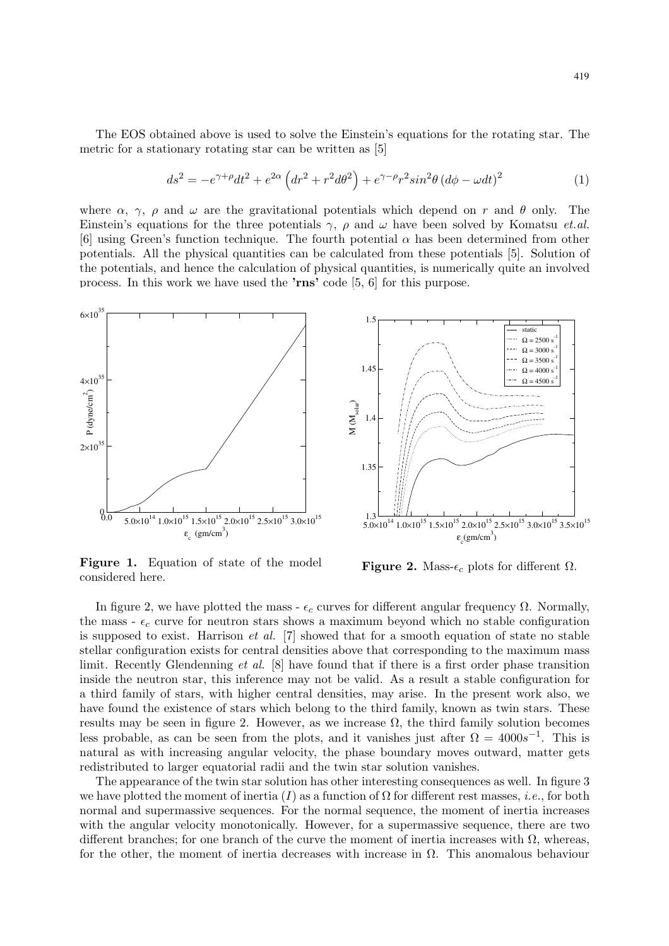The EOS obtained above is used to solve the Einstein's equations for the rotating star. The metric for a stationary rotating star can be written as [5]

$$
ds^{2} = -e^{\gamma+\rho}dt^{2} + e^{2\alpha}\left(dr^{2} + r^{2}d\theta^{2}\right) + e^{\gamma-\rho}r^{2}\sin^{2}\theta\left(d\phi - \omega dt\right)^{2}
$$
 (1)

where  $\alpha$ ,  $\gamma$ ,  $\rho$  and  $\omega$  are the gravitational potentials which depend on r and  $\theta$  only. The Einstein's equations for the three potentials  $\gamma$ ,  $\rho$  and  $\omega$  have been solved by Komatsu *et.al.* [6] using Green's function technique. The fourth potential  $\alpha$  has been determined from other potentials. All the physical quantities can be calculated from these potentials [5]. Solution of the potentials, and hence the calculation of physical quantities, is numerically quite an involved process. In this work we have used the 'rns' code [5, 6] for this purpose.



Figure 1. Equation of state of the model considered here.



**Figure 2.** Mass- $\epsilon_c$  plots for different  $\Omega$ .

In figure 2, we have plotted the mass -  $\epsilon_c$  curves for different angular frequency Ω. Normally, the mass -  $\epsilon_c$  curve for neutron stars shows a maximum beyond which no stable configuration is supposed to exist. Harrison  $et$  al.  $[7]$  showed that for a smooth equation of state no stable stellar configuration exists for central densities above that corresponding to the maximum mass limit. Recently Glendenning et al. [8] have found that if there is a first order phase transition inside the neutron star, this inference may not be valid. As a result a stable configuration for a third family of stars, with higher central densities, may arise. In the present work also, we have found the existence of stars which belong to the third family, known as twin stars. These results may be seen in figure 2. However, as we increase  $\Omega$ , the third family solution becomes less probable, as can be seen from the plots, and it vanishes just after  $\Omega = 4000s^{-1}$ . This is natural as with increasing angular velocity, the phase boundary moves outward, matter gets redistributed to larger equatorial radii and the twin star solution vanishes.

The appearance of the twin star solution has other interesting consequences as well. In figure 3 we have plotted the moment of inertia  $(I)$  as a function of  $\Omega$  for different rest masses, *i.e.*, for both normal and supermassive sequences. For the normal sequence, the moment of inertia increases with the angular velocity monotonically. However, for a supermassive sequence, there are two different branches; for one branch of the curve the moment of inertia increases with  $\Omega$ , whereas, for the other, the moment of inertia decreases with increase in  $\Omega$ . This anomalous behaviour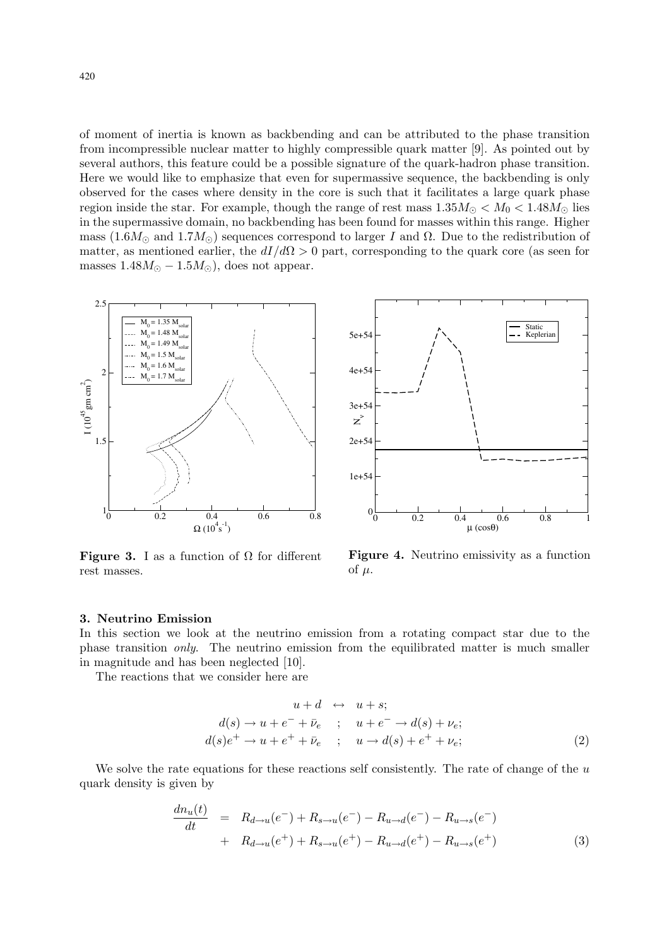of moment of inertia is known as backbending and can be attributed to the phase transition from incompressible nuclear matter to highly compressible quark matter [9]. As pointed out by several authors, this feature could be a possible signature of the quark-hadron phase transition. Here we would like to emphasize that even for supermassive sequence, the backbending is only observed for the cases where density in the core is such that it facilitates a large quark phase region inside the star. For example, though the range of rest mass  $1.35M_{\odot} < M_0 < 1.48M_{\odot}$  lies in the supermassive domain, no backbending has been found for masses within this range. Higher mass  $(1.6M_{\odot}$  and  $1.7M_{\odot})$  sequences correspond to larger I and  $\Omega$ . Due to the redistribution of matter, as mentioned earlier, the  $dI/d\Omega > 0$  part, corresponding to the quark core (as seen for masses  $1.48M_{\odot} - 1.5M_{\odot}$ , does not appear.



**Figure 3.** I as a function of  $\Omega$  for different rest masses.



Figure 4. Neutrino emissivity as a function of  $\mu$ .

#### 3. Neutrino Emission

In this section we look at the neutrino emission from a rotating compact star due to the phase transition only. The neutrino emission from the equilibrated matter is much smaller in magnitude and has been neglected [10].

The reactions that we consider here are

$$
u + d \leftrightarrow u + s;
$$
  
\n
$$
d(s) \rightarrow u + e^{-} + \bar{\nu}_{e} ; u + e^{-} \rightarrow d(s) + \nu_{e};
$$
  
\n
$$
d(s)e^{+} \rightarrow u + e^{+} + \bar{\nu}_{e} ; u \rightarrow d(s) + e^{+} + \nu_{e};
$$
\n(2)

We solve the rate equations for these reactions self consistently. The rate of change of the  $u$ quark density is given by

$$
\frac{dn_u(t)}{dt} = R_{d \to u}(e^-) + R_{s \to u}(e^-) - R_{u \to d}(e^-) - R_{u \to s}(e^-) \n+ R_{d \to u}(e^+) + R_{s \to u}(e^+) - R_{u \to d}(e^+) - R_{u \to s}(e^+) \tag{3}
$$